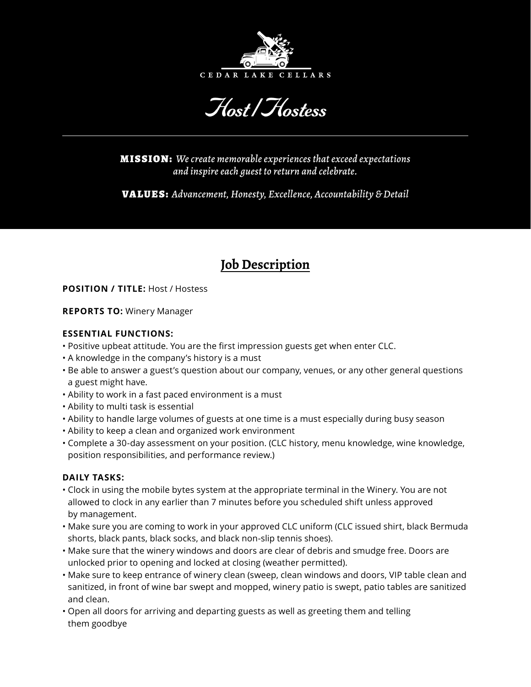

Host */*Hostess

MISSION: *We create memorable experiences that exceed expectations and inspire each guest to return and celebrate.*

VALUES: *Advancement, Honesty, Excellence, Accountability & Detail*

# **Job Description**

## **POSITION / TITLE:** Host / Hostess

## **REPORTS TO:** Winery Manager

## **ESSENTIAL FUNCTIONS:**

- •Positive upbeat attitude. You are the first impression guests get when enter CLC.
- A knowledge in the company's history is a must
- Be able to answer a guest's question about our company, venues, or any other general questions a guest might have.
- Ability to work in a fast paced environment is a must
- Ability to multi task is essential
- Ability to handle large volumes of guests at one time is a must especially during busy season
- Ability to keep a clean and organized work environment
- Complete a 30-day assessment on your position. (CLC history, menu knowledge, wine knowledge, position responsibilities, and performance review.)

# **DAILY TASKS:**

- Clock in using the mobile bytes system at the appropriate terminal in the Winery. You are not allowed to clock in any earlier than 7 minutes before you scheduled shift unless approved by management.
- Make sure you are coming to work in your approved CLC uniform (CLC issued shirt, black Bermuda shorts, black pants, black socks, and black non-slip tennis shoes).
- Make sure that the winery windows and doors are clear of debris and smudge free. Doors are unlocked prior to opening and locked at closing (weather permitted).
- Make sure to keep entrance of winery clean (sweep, clean windows and doors, VIP table clean and sanitized, in front of wine bar swept and mopped, winery patio is swept, patio tables are sanitized and clean.
- Open all doors for arriving and departing guests as well as greeting them and telling them goodbye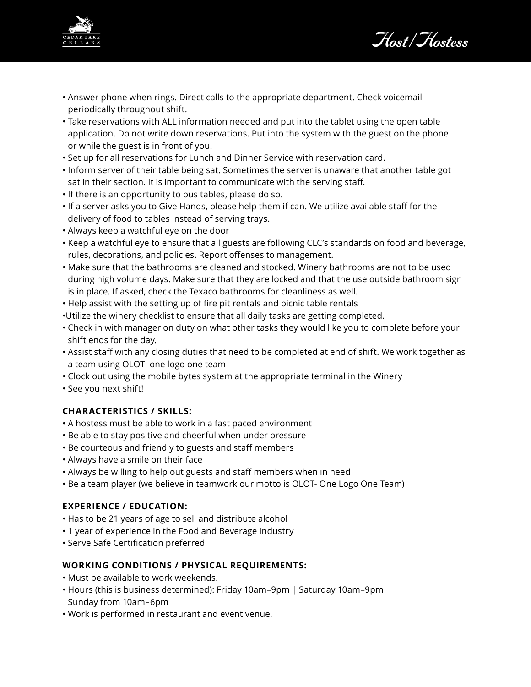

Host*/*Hostess

- Answer phone when rings. Direct calls to the appropriate department. Check voicemail periodically throughout shift.
- Take reservations with ALL information needed and put into the tablet using the open table application. Do not write down reservations. Put into the system with the guest on the phone or while the guest is in front of you.
- Set up for all reservations for Lunch and Dinner Service with reservation card.
- Inform server of their table being sat. Sometimes the server is unaware that another table got sat in their section. It is important to communicate with the serving staff.
- If there is an opportunity to bus tables, please do so.
- If a server asks you to Give Hands, please help them if can. We utilize available staff for the delivery of food to tables instead of serving trays.
- Always keep a watchful eye on the door
- Keep a watchful eye to ensure that all guests are following CLC's standards on food and beverage, rules, decorations, and policies. Report offenses to management.
- Make sure that the bathrooms are cleaned and stocked. Winery bathrooms are not to be used during high volume days. Make sure that they are locked and that the use outside bathroom sign is in place. If asked, check the Texaco bathrooms for cleanliness as well.
- Help assist with the setting up of fire pit rentals and picnic table rentals
- •Utilize the winery checklist to ensure that all daily tasks are getting completed.
- Check in with manager on duty on what other tasks they would like you to complete before your shift ends for the day.
- Assist staff with any closing duties that need to be completed at end of shift. We work together as a team using OLOT- one logo one team
- Clock out using the mobile bytes system at the appropriate terminal in the Winery
- See you next shift!

#### **CHARACTERISTICS / SKILLS:**

- A hostess must be able to work in a fast paced environment
- Be able to stay positive and cheerful when under pressure
- Be courteous and friendly to guests and staff members
- Always have a smile on their face
- Always be willing to help out guests and staff members when in need
- Be a team player (we believe in teamwork our motto is OLOT- One Logo One Team)

#### **EXPERIENCE / EDUCATION:**

- Has to be 21 years of age to sell and distribute alcohol
- 1 year of experience in the Food and Beverage Industry
- Serve Safe Certification preferred

## **WORKING CONDITIONS / PHYSICAL REQUIREMENTS:**

- Must be available to work weekends.
- •Hours (this is business determined): Friday 10am–9pm | Saturday 10am–9pm Sunday from 10am–6pm
- •Work is performed in restaurant and event venue.